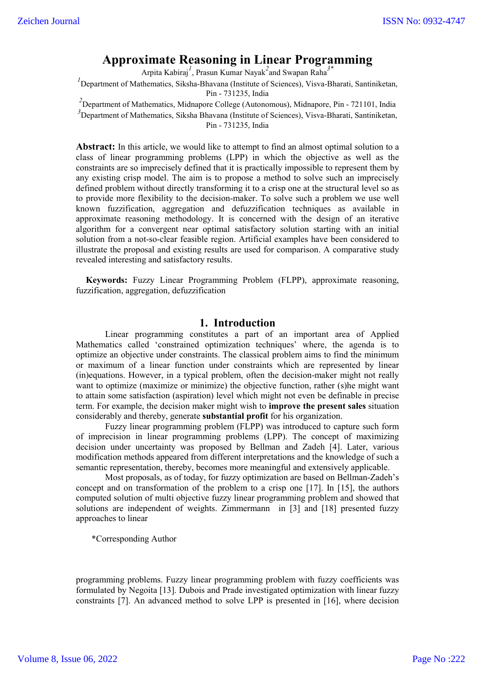# **Approximate Reasoning in Linear Programming**

Arpita Kabiraj*<sup>1</sup>* , Prasun Kumar Nayak*<sup>2</sup>* and Swapan Raha*3\**

<sup>1</sup> Department of Mathematics, Siksha-Bhavana (Institute of Sciences), Visva-Bharati, Santiniketan, Pin - 731235, India

*2* Department of Mathematics, Midnapore College (Autonomous), Midnapore, Pin - 721101, India

*3* Department of Mathematics, Siksha Bhavana (Institute of Sciences), Visva-Bharati, Santiniketan, Pin - 731235, India

**Abstract:** In this article, we would like to attempt to find an almost optimal solution to a class of linear programming problems (LPP) in which the objective as well as the constraints are so imprecisely defined that it is practically impossible to represent them by any existing crisp model. The aim is to propose a method to solve such an imprecisely defined problem without directly transforming it to a crisp one at the structural level so as to provide more flexibility to the decision-maker. To solve such a problem we use well known fuzzification, aggregation and defuzzification techniques as available in approximate reasoning methodology. It is concerned with the design of an iterative algorithm for a convergent near optimal satisfactory solution starting with an initial solution from a not-so-clear feasible region. Artificial examples have been considered to illustrate the proposal and existing results are used for comparison. A comparative study revealed interesting and satisfactory results.

**Keywords:** Fuzzy Linear Programming Problem (FLPP), approximate reasoning, fuzzification, aggregation, defuzzification

#### **1. Introduction**

Linear programming constitutes a part of an important area of Applied Mathematics called 'constrained optimization techniques' where, the agenda is to optimize an objective under constraints. The classical problem aims to find the minimum or maximum of a linear function under constraints which are represented by linear (in)equations. However, in a typical problem, often the decision-maker might not really want to optimize (maximize or minimize) the objective function, rather (s)he might want to attain some satisfaction (aspiration) level which might not even be definable in precise term. For example, the decision maker might wish to **improve the present sales** situation considerably and thereby, generate **substantial profit** for his organization.

Fuzzy linear programming problem (FLPP) was introduced to capture such form of imprecision in linear programming problems (LPP). The concept of maximizing decision under uncertainty was proposed by Bellman and Zadeh [4]. Later, various modification methods appeared from different interpretations and the knowledge of such a semantic representation, thereby, becomes more meaningful and extensively applicable.

Most proposals, as of today, for fuzzy optimization are based on Bellman-Zadeh's concept and on transformation of the problem to a crisp one [17]. In [15], the authors computed solution of multi objective fuzzy linear programming problem and showed that solutions are independent of weights. Zimmermann in [3] and [18] presented fuzzy approaches to linear

\*Corresponding Author

programming problems. Fuzzy linear programming problem with fuzzy coefficients was formulated by Negoita [13]. Dubois and Prade investigated optimization with linear fuzzy constraints [7]. An advanced method to solve LPP is presented in [16], where decision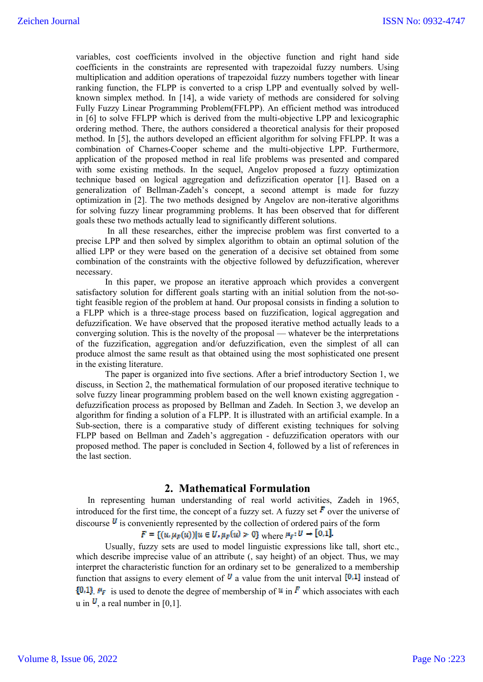variables, cost coefficients involved in the objective function and right hand side coefficients in the constraints are represented with trapezoidal fuzzy numbers. Using multiplication and addition operations of trapezoidal fuzzy numbers together with linear ranking function, the FLPP is converted to a crisp LPP and eventually solved by wellknown simplex method. In [14], a wide variety of methods are considered for solving Fully Fuzzy Linear Programming Problem(FFLPP). An efficient method was introduced in [6] to solve FFLPP which is derived from the multi-objective LPP and lexicographic ordering method. There, the authors considered a theoretical analysis for their proposed method. In [5], the authors developed an efficient algorithm for solving FFLPP. It was a combination of Charnes-Cooper scheme and the multi-objective LPP. Furthermore, application of the proposed method in real life problems was presented and compared with some existing methods. In the sequel, Angelov proposed a fuzzy optimization technique based on logical aggregation and defizzification operator [1]. Based on a generalization of Bellman-Zadeh's concept, a second attempt is made for fuzzy optimization in [2]. The two methods designed by Angelov are non-iterative algorithms for solving fuzzy linear programming problems. It has been observed that for different goals these two methods actually lead to significantly different solutions.

In all these researches, either the imprecise problem was first converted to a precise LPP and then solved by simplex algorithm to obtain an optimal solution of the allied LPP or they were based on the generation of a decisive set obtained from some combination of the constraints with the objective followed by defuzzification, wherever necessary.

In this paper, we propose an iterative approach which provides a convergent satisfactory solution for different goals starting with an initial solution from the not-sotight feasible region of the problem at hand. Our proposal consists in finding a solution to a FLPP which is a three-stage process based on fuzzification, logical aggregation and defuzzification. We have observed that the proposed iterative method actually leads to a converging solution. This is the novelty of the proposal — whatever be the interpretations of the fuzzification, aggregation and/or defuzzification, even the simplest of all can produce almost the same result as that obtained using the most sophisticated one present in the existing literature.

The paper is organized into five sections. After a brief introductory Section 1, we discuss, in Section 2, the mathematical formulation of our proposed iterative technique to solve fuzzy linear programming problem based on the well known existing aggregation defuzzification process as proposed by Bellman and Zadeh. In Section 3, we develop an algorithm for finding a solution of a FLPP. It is illustrated with an artificial example. In a Sub-section, there is a comparative study of different existing techniques for solving FLPP based on Bellman and Zadeh's aggregation - defuzzification operators with our proposed method. The paper is concluded in Section 4, followed by a list of references in the last section.

#### **2. Mathematical Formulation**

In representing human understanding of real world activities, Zadeh in 1965, introduced for the first time, the concept of a fuzzy set. A fuzzy set  $\vec{F}$  over the universe of discourse  $\boldsymbol{U}$  is conveniently represented by the collection of ordered pairs of the form

## $F = \{(u, \mu_F(u)) | u \in U, \mu_F(u) > 0\}$  where  $\mu_F: U \to [0,1]$ .

Usually, fuzzy sets are used to model linguistic expressions like tall, short etc., which describe imprecise value of an attribute (, say height) of an object. Thus, we may interpret the characteristic function for an ordinary set to be generalized to a membership function that assigns to every element of  $\bf{U}$  a value from the unit interval  $\bf{[0,1]}$  instead of  $\{0,1\}$   $\mu_F$  is used to denote the degree of membership of  $\mu$  in  $\bar{F}$  which associates with each u in  $\mathbf{U}$ , a real number in [0,1].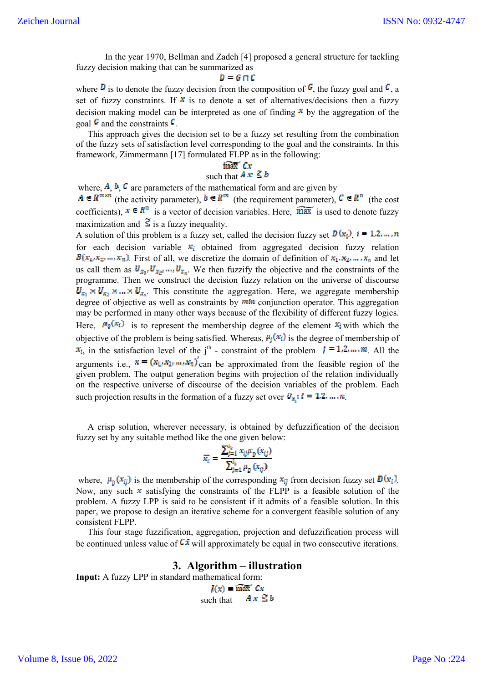In the year 1970, Bellman and Zadeh [4] proposed a general structure for tackling fuzzy decision making that can be summarized as

#### $D = G \cap C$

where  $\vec{v}$  is to denote the fuzzy decision from the composition of  $\vec{v}$ , the fuzzy goal and  $\vec{v}$ , a set of fuzzy constraints. If  $*$  is to denote a set of alternatives/decisions then a fuzzy decision making model can be interpreted as one of finding  $\overline{\bullet}$  by the aggregation of the goal  $\epsilon$  and the constraints  $\epsilon$ .

This approach gives the decision set to be a fuzzy set resulting from the combination of the fuzzy sets of satisfaction level corresponding to the goal and the constraints. In this framework, Zimmermann [17] formulated FLPP as in the following:

#### $\overline{\max}$   $Cx$

### such that  $A \times \leq b$

where,  $\mathbf{A}, \mathbf{b}, \mathbf{C}$  are parameters of the mathematical form and are given by (the activity parameter),  $b \in \mathbb{R}^m$  (the requirement parameter),  $\mathbb{C} \in \mathbb{R}^m$  (the cost coefficients),  $\mathbf{x} \in \mathbb{R}^n$  is a vector of decision variables. Here,  $\overrightarrow{max}$  is used to denote fuzzy maximization and  $\tilde{\le}$  is a fuzzy inequality.

A solution of this problem is a fuzzy set, called the decision fuzzy set  $D(x_i)$ ,  $i = 1, 2, ..., n$ for each decision variable  $x_i$  obtained from aggregated decision fuzzy relation  $B(x_1, x_2, ..., x_n)$ . First of all, we discretize the domain of definition of  $x_1, x_2, ..., x_n$  and let us call them as  $U_{x_1}, U_{x_2}, \dots, U_{x_n}$ . We then fuzzify the objective and the constraints of the programme. Then we construct the decision fuzzy relation on the universe of discourse  $U_{x_1} \times U_{x_2} \times \ldots \times U_{x_n}$ . This constitute the aggregation. Here, we aggregate membership degree of objective as well as constraints by  $\vec{m}\cdot\vec{n}$  conjunction operator. This aggregation may be performed in many other ways because of the flexibility of different fuzzy logics. Here,  $\mu_0(x_i)$  is to represent the membership degree of the element  $x_i$  with which the objective of the problem is being satisfied. Whereas,  $\mu_i(x_i)$  is the degree of membership of  $x_i$ , in the satisfaction level of the j<sup>th</sup> - constraint of the problem  $i = 1, 2, ..., m$ . All the arguments i.e.,  $\mathbf{x} = (x_1, x_2, ..., x_n)$  can be approximated from the feasible region of the given problem. The output generation begins with projection of the relation individually on the respective universe of discourse of the decision variables of the problem. Each such projection results in the formation of a fuzzy set over  $U_{\alpha}$ ;  $i = 1, 2, ..., n$ .

A crisp solution, wherever necessary, is obtained by defuzzification of the decision fuzzy set by any suitable method like the one given below:

$$
\overline{x_i} = \frac{\sum_{j=1}^{n_k} x_{ij} \mu_D(x_{ij})}{\sum_{j=1}^{n_k} \mu_D(x_{ij})}
$$

where,  $\mu_{\bar{p}}(x_{ij})$  is the membership of the corresponding  $x_{ij}$  from decision fuzzy set  $\bar{D}(x_i)$ . Now, any such  $x$  satisfying the constraints of the FLPP is a feasible solution of the problem. A fuzzy LPP is said to be consistent if it admits of a feasible solution. In this paper, we propose to design an iterative scheme for a convergent feasible solution of any consistent FLPP.

This four stage fuzzification, aggregation, projection and defuzzification process will be continued unless value of  $\overline{C}$  will approximately be equal in two consecutive iterations.

#### **3. Algorithm – illustration**

**Input:** A fuzzy LPP in standard mathematical form:

 $J(x) = \widetilde{\max}$   $Cx$ such that  $A x \leq b$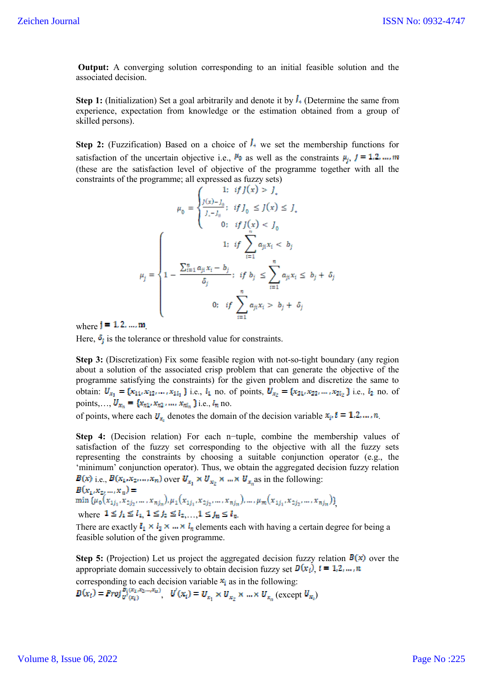**Output:** A converging solution corresponding to an initial feasible solution and the associated decision.

**Step 1:** (Initialization) Set a goal arbitrarily and denote it by  $\overline{I}$  (Determine the same from experience, expectation from knowledge or the estimation obtained from a group of skilled persons).

**Step 2:** (Fuzzification) Based on a choice of  $\overline{I_+}$  we set the membership functions for satisfaction of the uncertain objective i.e.,  $\mu_0$  as well as the constraints  $\mu_i$ ,  $j = 1, 2, ..., m$ (these are the satisfaction level of objective of the programme together with all the constraints of the programme; all expressed as fuzzy sets)

$$
\mu_0 = \begin{cases}\n1: & if \ j(x) > j_x \\
\frac{J(x) - J_0}{J_x - J_0}; & if \ J_0 \le J(x) \le J_x \\
0: & if \ J(x) < J_0\n\end{cases}
$$
\n
$$
\mu_j = \begin{cases}\n1: & if \ \sum_{i=1}^n a_{ji} x_i < b_j \\
1 - \frac{\sum_{i=1}^n a_{ji} x_i - b_j}{\delta_j}; & if \ b_j \le \sum_{i=1}^n a_{ji} x_i \le b_j + \delta_j \\
0: & if \ \sum_{i=1}^n a_{ji} x_i > b_j + \delta_j\n\end{cases}
$$

where  $i = 1, 2, ..., m$ 

Here,  $\delta_i$  is the tolerance or threshold value for constraints.

**Step 3:** (Discretization) Fix some feasible region with not-so-tight boundary (any region about a solution of the associated crisp problem that can generate the objective of the programme satisfying the constraints) for the given problem and discretize the same to obtain:  $U_{x_1} = \{x_{11}, x_{12}, \dots, x_{1l_1}\}$  i.e.,  $l_1$  no. of points,  $U_{x_2} = \{x_{21}, x_{22}, \dots, x_{2l_2}\}$  i.e.,  $l_2$  no. of points,...,  $U_{x_n} = \{x_{n1}, x_{n2}, ..., x_{n l_n}\}$  i.e.,  $l_n$  no.

of points, where each  $U_{x_i}$  denotes the domain of the decision variable  $x_i$ ,  $i = 1, 2, ..., n$ .

**Step 4:** (Decision relation) For each n−tuple, combine the membership values of satisfaction of the fuzzy set corresponding to the objective with all the fuzzy sets representing the constraints by choosing a suitable conjunction operator (e.g., the 'minimum' conjunction operator). Thus, we obtain the aggregated decision fuzzy relation

 $B(x)$  i.e.,  $B(x_1, x_2, ..., x_n)$  over  $U_{x_1} \times U_{x_2} \times ... \times U_{x_n}$  as in the following:  $B(x_1, x_2, ..., x_n) =$  $\min \{\mu_0(x_{1j_1}, x_{2j_2}, \dots, x_{nj_n}), \mu_1(x_{1j_1}, x_{2j_2}, \dots, x_{nj_n}), \dots, \mu_m(x_{1j_1}, x_{2j_2}, \dots, x_{nj_n})\}$ where  $1 \le j_1 \le l_1, 1 \le j_2 \le l_2, ..., 1 \le j_n \le l_n$ .

There are exactly  $l_1 \times l_2 \times \dots \times l_n$  elements each with having a certain degree for being a feasible solution of the given programme.

**Step 5:** (Projection) Let us project the aggregated decision fuzzy relation  $B(x)$  over the appropriate domain successively to obtain decision fuzzy set  $D(x_i)$ ,  $i = 1, 2, ..., n$ corresponding to each decision variable  $x_i$  as in the following:

 $D(x_i) = Prop_{u'(x_i)}^{S_i(x_1,x_2,...,x_n)}, U'(x_i) = U_{x_1} \times U_{x_2} \times ... \times U_{x_n}$  (except  $U_{x_i}$ )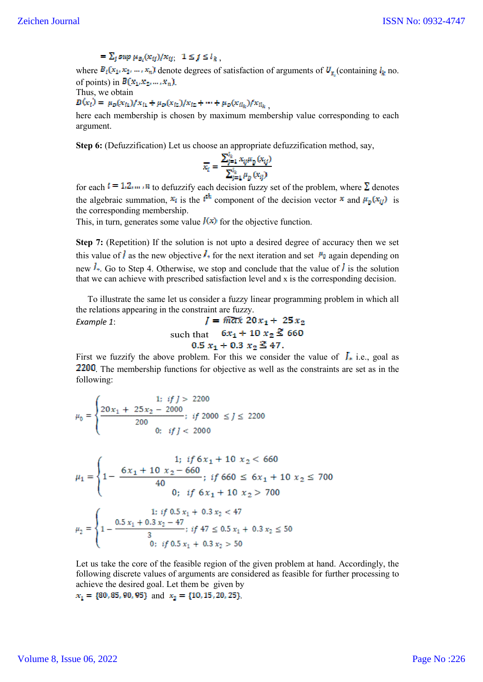## $=\sum_i \sup \mu_{\sigma_i}(x_{ij})/x_{ij}; \ \ 1 \leq j \leq l_k$

where  $B_i(x_1, x_2, ..., x_n)$  denote degrees of satisfaction of arguments of  $U_{x_i}$  (containing  $l_k$  no. of points) in  $B(x_1, x_2, \ldots, x_n)$ .

Thus, we obtain

*Example 1*:

$$
D(x_i) = \mu_D(x_{i1})/x_{i1} + \mu_D(x_{i2})/x_{i2} + \cdots + \mu_D(x_{i_k})/x_{i_k},
$$

here each membership is chosen by maximum membership value corresponding to each argument.

**Step 6:** (Defuzzification) Let us choose an appropriate defuzzification method, say,

$$
\overline{x_i} = \frac{\sum_{j=1}^{i_k} x_{ij} \mu_D(x_{ij})}{\sum_{i=1}^{i_k} \mu_D(x_{ij})}
$$

for each  $t = 1, 2, \dots, n$  to defuzzify each decision fuzzy set of the problem, where  $\Sigma$  denotes the algebraic summation,  $x_i$  is the  $i^{th}$  component of the decision vector  $x$  and  $\mu_p(x_{ij})$  is the corresponding membership.

This, in turn, generates some value  $f(x)$  for the objective function.

**Step 7:** (Repetition) If the solution is not upto a desired degree of accuracy then we set this value of  $\hat{I}$  as the new objective  $\hat{I}$  for the next iteration and set  $\hat{I}$  again depending on new  $\frac{1}{2}$ . Go to Step 4. Otherwise, we stop and conclude that the value of  $\frac{1}{2}$  is the solution that we can achieve with prescribed satisfaction level and x is the corresponding decision.

To illustrate the same let us consider a fuzzy linear programming problem in which all the relations appearing in the constraint are fuzzy.

 $J = \widetilde{max} 20x_1 + 25x_2$ such that  $6x_1 + 10x_2 \le 660$ <br>0.5  $x_1 + 0.3x_2 \le 47$ .

First we fuzzify the above problem. For this we consider the value of  $\mathcal{I}_{\ast}$  i.e., goal as 2200. The membership functions for objective as well as the constraints are set as in the following:

$$
\mu_0 = \begin{cases}\n1: & \text{if } J > 2200 \\
20x_1 + 25x_2 - 2000 \\
200 & \text{if } J < 2000 \\
 & 0: & \text{if } J < 2000\n\end{cases}
$$

$$
\mu_1 = \begin{cases}\n1; & \text{if } 6x_1 + 10 \ x_2 < 660 \\
1 - \frac{6x_1 + 10 \ x_2 - 660}{40}; & \text{if } 660 \le 6x_1 + 10 \ x_2 \le 700 \\
0; & \text{if } 6x_1 + 10 \ x_2 > 700\n\end{cases}
$$
\n
$$
\mu_2 = \begin{cases}\n1; & \text{if } 0.5 \ x_1 + 0.3 \ x_2 < 47 \\
1 - \frac{0.5 \ x_1 + 0.3 \ x_2 - 47}{3}; & \text{if } 47 \le 0.5 \ x_1 + 0.3 \ x_2 \le 50 \\
0; & \text{if } 0.5 \ x_1 + 0.3 \ x_2 > 50\n\end{cases}
$$

Let us take the core of the feasible region of the given problem at hand. Accordingly, the following discrete values of arguments are considered as feasible for further processing to achieve the desired goal. Let them be given by

 $x_1 = \{80, 85, 90, 95\}$  and  $x_2 = \{10, 15, 20, 25\}$ .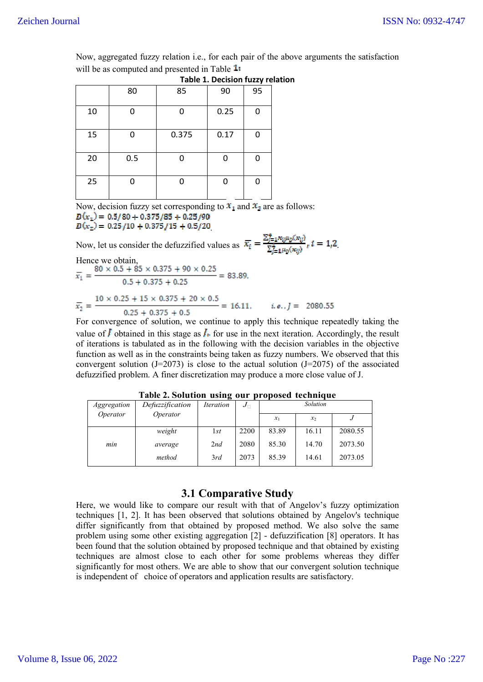Now, aggregated fuzzy relation i.e., for each pair of the above arguments the satisfaction will be as computed and presented in Table  $1:$ 

|    |     | Table 1. Decision fuzzy relat |      |    |  |
|----|-----|-------------------------------|------|----|--|
|    | 80  | 85                            | 90   | 95 |  |
| 10 |     | Ω                             | 0.25 | 0  |  |
| 15 | n   | 0.375                         | 0.17 | 0  |  |
| 20 | 0.5 |                               |      | Ω  |  |
| 25 |     |                               |      | 0  |  |

**Plation** 

Now, decision fuzzy set corresponding to  $x_1$  and  $x_2$  are as follows:  $D(x_1) = 0.5/80 + 0.375/85 + 0.25/90$  $D(x_2) = 0.25/10 + 0.375/15 + 0.5/20$ 

Now, let us consider the defuzzified values as  $\overline{x_i} = \frac{\sum_{j=1}^{4} x_{ij} \mu_D(x_{ij})}{\sum_{j=1}^{4} \mu_D(x_{ij})}$ ,  $i = 1, 2$ .

Hence we obtain,  
\n
$$
\overline{x}_1 = \frac{80 \times 0.5 + 85 \times 0.375 + 90 \times 0.25}{0.5 + 0.375 + 0.25} = 83.89,
$$
\n
$$
\overline{x}_2 = \frac{10 \times 0.25 + 15 \times 0.375 + 20 \times 0.5}{0.25 + 0.375 + 0.5} = 16.11, \quad i.e., j = 2080.55
$$

For convergence of solution, we continue to apply this technique repeatedly taking the value of  $\overline{I}$  obtained in this stage as  $I_{\ast}$  for use in the next iteration. Accordingly, the result of iterations is tabulated as in the following with the decision variables in the objective function as well as in the constraints being taken as fuzzy numbers. We observed that this convergent solution (J=2073) is close to the actual solution (J=2075) of the associated defuzzified problem. A finer discretization may produce a more close value of J.

| <i>Aggregation</i> | Defuzzification | <i><u><b>Iteration</b></u></i> | $J_{\Box}$ | Solution |       |         |
|--------------------|-----------------|--------------------------------|------------|----------|-------|---------|
| Operator           | Operator        |                                |            | $x_1$    | $x_2$ | J       |
|                    | weight          | 1st                            | 2200       | 83.89    | 16.11 | 2080.55 |
| min                | average         | 2nd                            | 2080       | 85.30    | 14.70 | 2073.50 |
|                    | method          | 3rd                            | 2073       | 85.39    | 14.61 | 2073.05 |

**Table 2. Solution using our proposed technique**

## **3.1 Comparative Study**

Here, we would like to compare our result with that of Angelov's fuzzy optimization techniques [1, 2]. It has been observed that solutions obtained by Angelov's technique differ significantly from that obtained by proposed method. We also solve the same problem using some other existing aggregation [2] - defuzzification [8] operators. It has been found that the solution obtained by proposed technique and that obtained by existing techniques are almost close to each other for some problems whereas they differ significantly for most others. We are able to show that our convergent solution technique is independent of choice of operators and application results are satisfactory.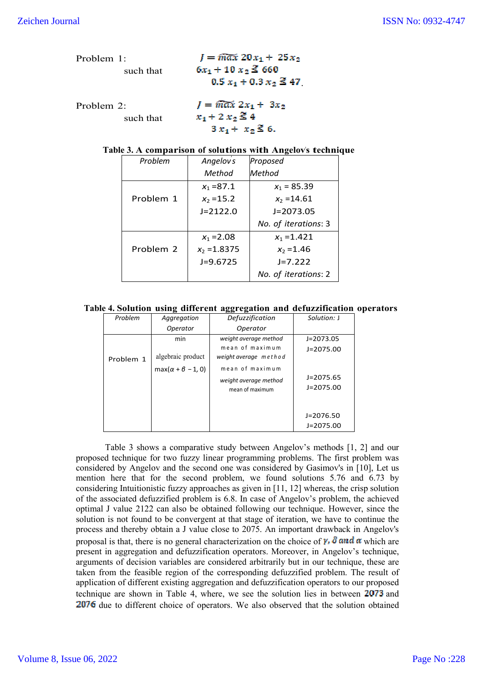| Problem 1: | $I = \widehat{max} 20x_1 + 25x_2$ |
|------------|-----------------------------------|
| such that  | $6x_1 + 10x_2 \le 660$            |
|            | $0.5 x_1 + 0.3 x_2 \le 47$        |
| Problem 2: | $I = \widehat{max} 2x_1 + 3x_2$   |
| such that  | $x_1 + 2 x_2 \le 4$               |
|            | $3x_1 + x_2 \le 6$ .              |

#### **Table 3. A comparison of solutions with Angelov's technique**

| Problem   | Angelov <sub>s</sub> | Proposed             |
|-----------|----------------------|----------------------|
|           | Method               | Method               |
|           | $x_1 = 87.1$         | $x_1 = 85.39$        |
| Problem 1 | $x_2 = 15.2$         | $x_2 = 14.61$        |
|           | $J = 2122.0$         | $J = 2073.05$        |
|           |                      | No. of iterations: 3 |
|           | $x_1 = 2.08$         | $x_1 = 1.421$        |
| Problem 2 | $x_2 = 1.8375$       | $x_2 = 1.46$         |
|           | $J=9.6725$           | $J=7.222$            |
|           |                      | No. of iterations: 2 |

#### **Table 4. Solution using different aggregation and defuzzification operators**

| Problem   | Aggregation                                       | Defuzzification                                             | Solution: J                |
|-----------|---------------------------------------------------|-------------------------------------------------------------|----------------------------|
|           | Operator                                          | Operator                                                    |                            |
|           | min                                               | weight average method                                       | $J=2073.05$                |
| Problem 1 | algebraic product<br>$max(\alpha + \beta - 1, 0)$ | mean of maximum<br>weight average method<br>mean of maximum | $J = 2075.00$              |
|           |                                                   | weight average method<br>mean of maximum                    | J=2075.65<br>$J = 2075.00$ |
|           |                                                   |                                                             | $J = 2076.50$              |
|           |                                                   |                                                             | $J = 2075.00$              |

Table 3 shows a comparative study between Angelov's methods [1, 2] and our proposed technique for two fuzzy linear programming problems. The first problem was considered by Angelov and the second one was considered by Gasimov's in [10], Let us mention here that for the second problem, we found solutions 5.76 and 6.73 by considering Intuitionistic fuzzy approaches as given in [11, 12] whereas, the crisp solution of the associated defuzzified problem is 6.8. In case of Angelov's problem, the achieved optimal J value 2122 can also be obtained following our technique. However, since the solution is not found to be convergent at that stage of iteration, we have to continue the process and thereby obtain a J value close to 2075. An important drawback in Angelov's proposal is that, there is no general characterization on the choice of  $\gamma$ ,  $\delta$  and  $\alpha$  which are present in aggregation and defuzzification operators. Moreover, in Angelov's technique, arguments of decision variables are considered arbitrarily but in our technique, these are taken from the feasible region of the corresponding defuzzified problem. The result of application of different existing aggregation and defuzzification operators to our proposed technique are shown in Table 4, where, we see the solution lies in between 2073 and 2076 due to different choice of operators. We also observed that the solution obtained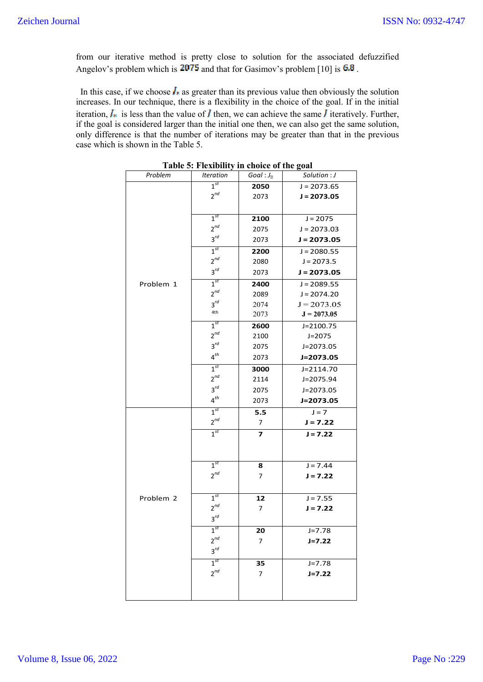from our iterative method is pretty close to solution for the associated defuzzified Angelov's problem which is  $2075$  and that for Gasimov's problem [10] is  $6.8$ .

In this case, if we choose  $\mathbf{I}_*$  as greater than its previous value then obviously the solution increases. In our technique, there is a flexibility in the choice of the goal. If in the initial iteration,  $J_*$  is less than the value of  $J$  then, we can achieve the same  $J$  iteratively. Further, if the goal is considered larger than the initial one then, we can also get the same solution, only difference is that the number of iterations may be greater than that in the previous case which is shown in the Table 5.

| Table 5: Flexibility in choice of the goal |                                |                        |               |  |  |
|--------------------------------------------|--------------------------------|------------------------|---------------|--|--|
| Problem                                    | <i><u><b>Iteration</b></u></i> | Goal: $J_{\mathbb{Z}}$ | Solution : J  |  |  |
|                                            | $1^{st}$                       | 2050                   | $J = 2073.65$ |  |  |
|                                            | $2^{nd}$                       | 2073                   | $J = 2073.05$ |  |  |
|                                            |                                |                        |               |  |  |
|                                            | $1^{st}$                       | 2100                   | $J = 2075$    |  |  |
|                                            | $2^{nd}$                       | 2075                   | $J = 2073.03$ |  |  |
|                                            | $3^{rd}$                       | 2073                   | $J = 2073.05$ |  |  |
|                                            | $1^{st}$                       | 2200                   | $J = 2080.55$ |  |  |
|                                            | $2^{nd}$                       | 2080                   | $J = 2073.5$  |  |  |
|                                            | $3^{rd}$                       | 2073                   | $J = 2073.05$ |  |  |
| Problem 1                                  | $1^{st}$                       | 2400                   | $J = 2089.55$ |  |  |
|                                            | $2^{nd}$                       | 2089                   | $J = 2074.20$ |  |  |
|                                            | $3^{rd}$                       | 2074                   | $J = 2073.05$ |  |  |
|                                            | 4th                            | 2073                   | $J = 2073.05$ |  |  |
|                                            | $1^{st}$                       | 2600                   | $J = 2100.75$ |  |  |
|                                            | $2^{nd}$                       | 2100                   | $J = 2075$    |  |  |
|                                            | $3^{rd}$                       | 2075                   | J=2073.05     |  |  |
|                                            | $4^{th}$                       | 2073                   | J=2073.05     |  |  |
|                                            | $1^{st}$                       | 3000                   | J=2114.70     |  |  |
|                                            | $2^{nd}$                       | 2114                   | J=2075.94     |  |  |
|                                            | $3^{rd}$                       | 2075                   | J=2073.05     |  |  |
|                                            | $4^{th}$                       | 2073                   | J=2073.05     |  |  |
|                                            | $1^{st}$                       | 5.5                    | $J = 7$       |  |  |
|                                            | $2^{nd}$                       | 7                      | $J = 7.22$    |  |  |
|                                            | $1^{st}$                       | $\overline{z}$         | $J = 7.22$    |  |  |
|                                            |                                |                        |               |  |  |
|                                            |                                |                        |               |  |  |
|                                            | 1 <sup>st</sup>                | 8                      | $J = 7.44$    |  |  |
|                                            | $2^{nd}$                       | 7                      | $J = 7.22$    |  |  |
|                                            |                                |                        |               |  |  |
| Problem 2                                  | $1^{st}$                       | 12                     | $J = 7.55$    |  |  |
|                                            | $2^{nd}$                       | 7                      | $J = 7.22$    |  |  |
|                                            | $3^{rd}$                       |                        |               |  |  |
|                                            | $1^{st}$                       | 20                     | $J = 7.78$    |  |  |
|                                            | $2^{nd}$                       | 7                      | $J = 7.22$    |  |  |
|                                            | $3^{rd}$                       |                        |               |  |  |
|                                            | $1^{st}$                       | 35                     | $J = 7.78$    |  |  |
|                                            | $2^{nd}$                       | 7                      | $J = 7.22$    |  |  |
|                                            |                                |                        |               |  |  |
|                                            |                                |                        |               |  |  |

**Table 5: Flexibility in choice of the goal**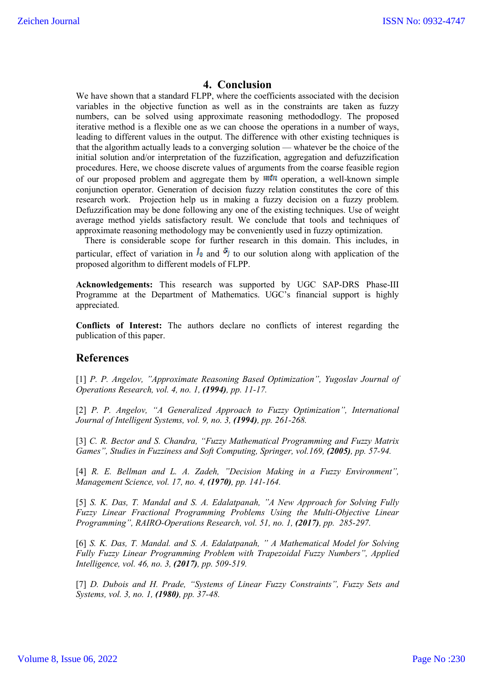## **4. Conclusion**

We have shown that a standard FLPP, where the coefficients associated with the decision variables in the objective function as well as in the constraints are taken as fuzzy numbers, can be solved using approximate reasoning methododlogy. The proposed iterative method is a flexible one as we can choose the operations in a number of ways, leading to different values in the output. The difference with other existing techniques is that the algorithm actually leads to a converging solution — whatever be the choice of the initial solution and/or interpretation of the fuzzification, aggregation and defuzzification procedures. Here, we choose discrete values of arguments from the coarse feasible region of our proposed problem and aggregate them by  $m \in \mathbb{N}$  operation, a well-known simple conjunction operator. Generation of decision fuzzy relation constitutes the core of this research work. Projection help us in making a fuzzy decision on a fuzzy problem. Defuzzification may be done following any one of the existing techniques. Use of weight average method yields satisfactory result. We conclude that tools and techniques of approximate reasoning methodology may be conveniently used in fuzzy optimization.

 There is considerable scope for further research in this domain. This includes, in particular, effect of variation in  $I_0$  and  $\delta_i$  to our solution along with application of the proposed algorithm to different models of FLPP.

**Acknowledgements:** This research was supported by UGC SAP-DRS Phase-III Programme at the Department of Mathematics. UGC's financial support is highly appreciated.

**Conflicts of Interest:** The authors declare no conflicts of interest regarding the publication of this paper.

#### **References**

[1] *P. P. Angelov, "Approximate Reasoning Based Optimization", Yugoslav Journal of Operations Research, vol. 4, no. 1, (1994), pp. 11-17.* 

[2] P. P. Angelov, "A Generalized Approach to Fuzzy Optimization", International *Journal of Intelligent Systems, vol. 9, no. 3, (1994), pp. 261-268.*

[3] *C. R. Bector and S. Chandra, "Fuzzy Mathematical Programming and Fuzzy Matrix Games", Studies in Fuzziness and Soft Computing, Springer, vol.169, (2005), pp. 57-94.* 

[4] *R. E. Bellman and L. A. Zadeh, "Decision Making in a Fuzzy Environment", Management Science, vol. 17, no. 4, (1970), pp. 141-164.*

[5] *S. K. Das, T. Mandal and S. A. Edalatpanah, "A New Approach for Solving Fully Fuzzy Linear Fractional Programming Problems Using the Multi-Objective Linear Programming", RAIRO-Operations Research, vol. 51, no. 1, (2017), pp. 285-297.* 

[6] *S. K. Das, T. Mandal. and S. A. Edalatpanah, " A Mathematical Model for Solving Fully Fuzzy Linear Programming Problem with Trapezoidal Fuzzy Numbers", Applied Intelligence, vol. 46, no. 3, (2017), pp. 509-519.*

[7] *D. Dubois and H. Prade, "Systems of Linear Fuzzy Constraints", Fuzzy Sets and Systems, vol. 3, no. 1, (1980), pp. 37-48.*